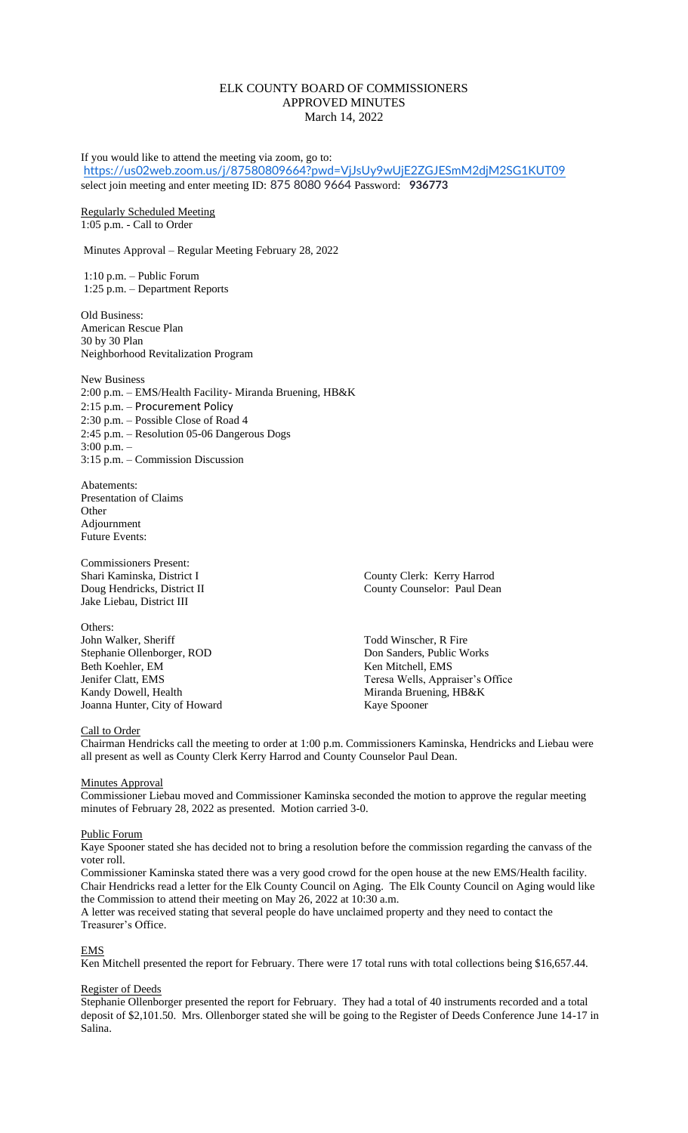# ELK COUNTY BOARD OF COMMISSIONERS APPROVED MINUTES March 14, 2022

If you would like to attend the meeting via zoom, go to: <https://us02web.zoom.us/j/87580809664?pwd=VjJsUy9wUjE2ZGJESmM2djM2SG1KUT09> select join meeting and enter meeting ID: 875 8080 9664 Password: **936773**

Regularly Scheduled Meeting 1:05 p.m. - Call to Order

Minutes Approval – Regular Meeting February 28, 2022

1:10 p.m. – Public Forum 1:25 p.m. – Department Reports

Old Business: American Rescue Plan 30 by 30 Plan Neighborhood Revitalization Program

New Business 2:00 p.m. – EMS/Health Facility- Miranda Bruening, HB&K 2:15 p.m. – Procurement Policy 2:30 p.m. – Possible Close of Road 4 2:45 p.m. – Resolution 05-06 Dangerous Dogs 3:00 p.m. – 3:15 p.m. – Commission Discussion

Abatements: Presentation of Claims **Other** Adjournment Future Events:

Commissioners Present: Jake Liebau, District III

Others: John Walker, Sheriff Todd Winscher, R Fire Stephanie Ollenborger, ROD Don Sanders, Public Works<br>
Beth Koehler. EM Ren Mitchell. EMS Kandy Dowell, Health Miranda Bruening, HB&K Joanna Hunter, City of Howard Kaye Spooner

Shari Kaminska, District I County Clerk: Kerry Harrod Doug Hendricks, District II County Counselor: Paul Dean

Ken Mitchell, EMS Jenifer Clatt, EMS Teresa Wells, Appraiser's Office

# Call to Order

Chairman Hendricks call the meeting to order at 1:00 p.m. Commissioners Kaminska, Hendricks and Liebau were all present as well as County Clerk Kerry Harrod and County Counselor Paul Dean.

### **Minutes Approval**

Commissioner Liebau moved and Commissioner Kaminska seconded the motion to approve the regular meeting minutes of February 28, 2022 as presented. Motion carried 3-0.

### Public Forum

Kaye Spooner stated she has decided not to bring a resolution before the commission regarding the canvass of the voter roll.

Commissioner Kaminska stated there was a very good crowd for the open house at the new EMS/Health facility. Chair Hendricks read a letter for the Elk County Council on Aging. The Elk County Council on Aging would like the Commission to attend their meeting on May 26, 2022 at 10:30 a.m.

A letter was received stating that several people do have unclaimed property and they need to contact the Treasurer's Office.

# EMS

Ken Mitchell presented the report for February. There were 17 total runs with total collections being \$16,657.44.

## Register of Deeds

Stephanie Ollenborger presented the report for February. They had a total of 40 instruments recorded and a total deposit of \$2,101.50. Mrs. Ollenborger stated she will be going to the Register of Deeds Conference June 14-17 in Salina.